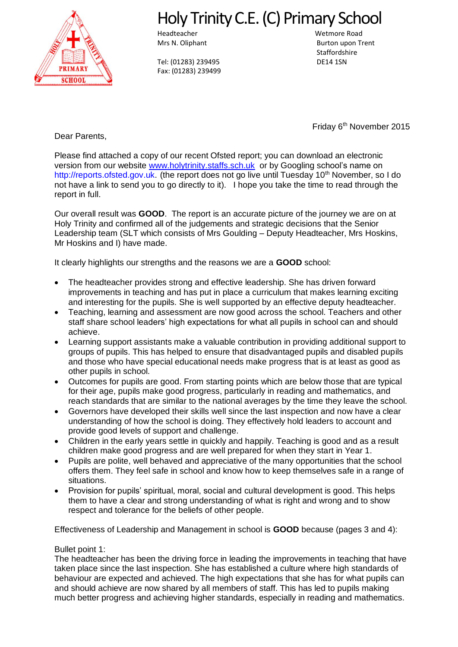

# Holy Trinity C.E. (C) Primary School

Headteacher Wetmore Road

Tel: (01283) 239495 DE14 1SN Fax: (01283) 239499

Mrs N. Oliphant **Burton upon Trent Staffordshire** 

Friday 6<sup>th</sup> November 2015

Dear Parents,

Please find attached a copy of our recent Ofsted report; you can download an electronic version from our website [www.holytrinity.staffs.sch.uk](http://www.holytrinity.staffs.sch.uk/) or by Googling school's name on [http://reports.ofsted.gov.uk.](http://reports.ofsted.gov.uk/) (the report does not go live until Tuesday 10<sup>th</sup> November, so I do not have a link to send you to go directly to it). I hope you take the time to read through the report in full.

Our overall result was **GOOD**. The report is an accurate picture of the journey we are on at Holy Trinity and confirmed all of the judgements and strategic decisions that the Senior Leadership team (SLT which consists of Mrs Goulding – Deputy Headteacher, Mrs Hoskins, Mr Hoskins and I) have made.

It clearly highlights our strengths and the reasons we are a **GOOD** school:

- The headteacher provides strong and effective leadership. She has driven forward improvements in teaching and has put in place a curriculum that makes learning exciting and interesting for the pupils. She is well supported by an effective deputy headteacher.
- Teaching, learning and assessment are now good across the school. Teachers and other staff share school leaders' high expectations for what all pupils in school can and should achieve.
- Learning support assistants make a valuable contribution in providing additional support to groups of pupils. This has helped to ensure that disadvantaged pupils and disabled pupils and those who have special educational needs make progress that is at least as good as other pupils in school.
- Outcomes for pupils are good. From starting points which are below those that are typical for their age, pupils make good progress, particularly in reading and mathematics, and reach standards that are similar to the national averages by the time they leave the school.
- Governors have developed their skills well since the last inspection and now have a clear understanding of how the school is doing. They effectively hold leaders to account and provide good levels of support and challenge.
- Children in the early years settle in quickly and happily. Teaching is good and as a result children make good progress and are well prepared for when they start in Year 1.
- Pupils are polite, well behaved and appreciative of the many opportunities that the school offers them. They feel safe in school and know how to keep themselves safe in a range of situations.
- Provision for pupils' spiritual, moral, social and cultural development is good. This helps them to have a clear and strong understanding of what is right and wrong and to show respect and tolerance for the beliefs of other people.

Effectiveness of Leadership and Management in school is **GOOD** because (pages 3 and 4):

# Bullet point 1:

The headteacher has been the driving force in leading the improvements in teaching that have taken place since the last inspection. She has established a culture where high standards of behaviour are expected and achieved. The high expectations that she has for what pupils can and should achieve are now shared by all members of staff. This has led to pupils making much better progress and achieving higher standards, especially in reading and mathematics.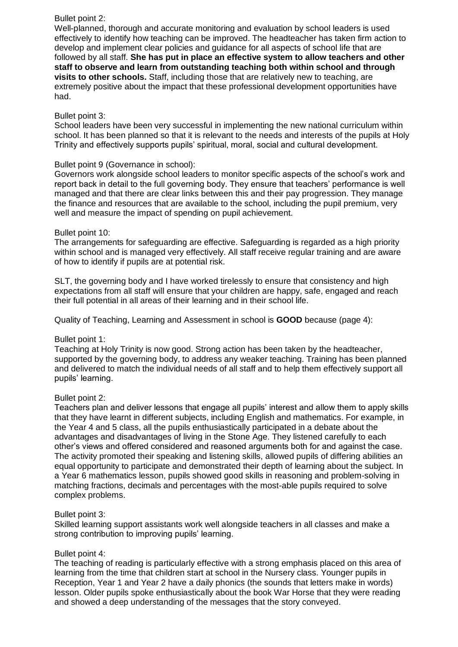# Bullet point 2:

Well-planned, thorough and accurate monitoring and evaluation by school leaders is used effectively to identify how teaching can be improved. The headteacher has taken firm action to develop and implement clear policies and guidance for all aspects of school life that are followed by all staff. **She has put in place an effective system to allow teachers and other staff to observe and learn from outstanding teaching both within school and through visits to other schools.** Staff, including those that are relatively new to teaching, are extremely positive about the impact that these professional development opportunities have had.

# Bullet point 3:

School leaders have been very successful in implementing the new national curriculum within school. It has been planned so that it is relevant to the needs and interests of the pupils at Holy Trinity and effectively supports pupils' spiritual, moral, social and cultural development.

# Bullet point 9 (Governance in school):

Governors work alongside school leaders to monitor specific aspects of the school's work and report back in detail to the full governing body. They ensure that teachers' performance is well managed and that there are clear links between this and their pay progression. They manage the finance and resources that are available to the school, including the pupil premium, very well and measure the impact of spending on pupil achievement.

# Bullet point 10:

The arrangements for safeguarding are effective. Safeguarding is regarded as a high priority within school and is managed very effectively. All staff receive regular training and are aware of how to identify if pupils are at potential risk.

SLT, the governing body and I have worked tirelessly to ensure that consistency and high expectations from all staff will ensure that your children are happy, safe, engaged and reach their full potential in all areas of their learning and in their school life.

Quality of Teaching, Learning and Assessment in school is **GOOD** because (page 4):

# Bullet point 1:

Teaching at Holy Trinity is now good. Strong action has been taken by the headteacher, supported by the governing body, to address any weaker teaching. Training has been planned and delivered to match the individual needs of all staff and to help them effectively support all pupils' learning.

#### Bullet point 2:

Teachers plan and deliver lessons that engage all pupils' interest and allow them to apply skills that they have learnt in different subjects, including English and mathematics. For example, in the Year 4 and 5 class, all the pupils enthusiastically participated in a debate about the advantages and disadvantages of living in the Stone Age. They listened carefully to each other's views and offered considered and reasoned arguments both for and against the case. The activity promoted their speaking and listening skills, allowed pupils of differing abilities an equal opportunity to participate and demonstrated their depth of learning about the subject. In a Year 6 mathematics lesson, pupils showed good skills in reasoning and problem-solving in matching fractions, decimals and percentages with the most-able pupils required to solve complex problems.

#### Bullet point 3:

Skilled learning support assistants work well alongside teachers in all classes and make a strong contribution to improving pupils' learning.

#### Bullet point 4:

The teaching of reading is particularly effective with a strong emphasis placed on this area of learning from the time that children start at school in the Nursery class. Younger pupils in Reception, Year 1 and Year 2 have a daily phonics (the sounds that letters make in words) lesson. Older pupils spoke enthusiastically about the book War Horse that they were reading and showed a deep understanding of the messages that the story conveyed.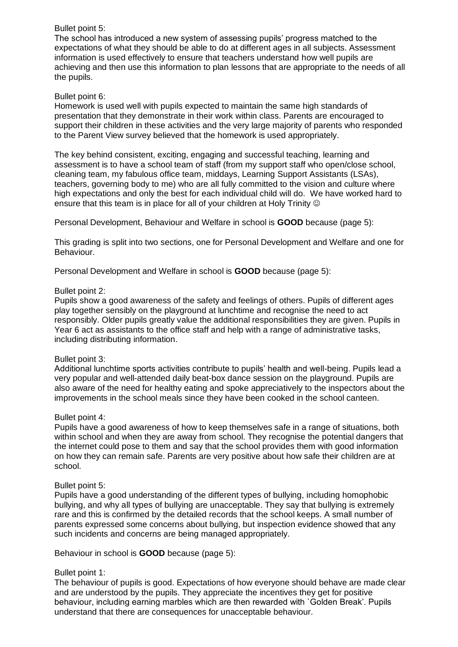# Bullet point 5:

The school has introduced a new system of assessing pupils' progress matched to the expectations of what they should be able to do at different ages in all subjects. Assessment information is used effectively to ensure that teachers understand how well pupils are achieving and then use this information to plan lessons that are appropriate to the needs of all the pupils.

# Bullet point 6:

Homework is used well with pupils expected to maintain the same high standards of presentation that they demonstrate in their work within class. Parents are encouraged to support their children in these activities and the very large majority of parents who responded to the Parent View survey believed that the homework is used appropriately.

The key behind consistent, exciting, engaging and successful teaching, learning and assessment is to have a school team of staff (from my support staff who open/close school, cleaning team, my fabulous office team, middays, Learning Support Assistants (LSAs), teachers, governing body to me) who are all fully committed to the vision and culture where high expectations and only the best for each individual child will do. We have worked hard to ensure that this team is in place for all of your children at Holy Trinity  $\circledcirc$ 

Personal Development, Behaviour and Welfare in school is **GOOD** because (page 5):

This grading is split into two sections, one for Personal Development and Welfare and one for Behaviour.

Personal Development and Welfare in school is **GOOD** because (page 5):

# Bullet point 2:

Pupils show a good awareness of the safety and feelings of others. Pupils of different ages play together sensibly on the playground at lunchtime and recognise the need to act responsibly. Older pupils greatly value the additional responsibilities they are given. Pupils in Year 6 act as assistants to the office staff and help with a range of administrative tasks, including distributing information.

#### Bullet point 3:

Additional lunchtime sports activities contribute to pupils' health and well-being. Pupils lead a very popular and well-attended daily beat-box dance session on the playground. Pupils are also aware of the need for healthy eating and spoke appreciatively to the inspectors about the improvements in the school meals since they have been cooked in the school canteen.

#### Bullet point 4:

Pupils have a good awareness of how to keep themselves safe in a range of situations, both within school and when they are away from school. They recognise the potential dangers that the internet could pose to them and say that the school provides them with good information on how they can remain safe. Parents are very positive about how safe their children are at school.

#### Bullet point 5:

Pupils have a good understanding of the different types of bullying, including homophobic bullying, and why all types of bullying are unacceptable. They say that bullying is extremely rare and this is confirmed by the detailed records that the school keeps. A small number of parents expressed some concerns about bullying, but inspection evidence showed that any such incidents and concerns are being managed appropriately.

Behaviour in school is **GOOD** because (page 5):

#### Bullet point 1:

The behaviour of pupils is good. Expectations of how everyone should behave are made clear and are understood by the pupils. They appreciate the incentives they get for positive behaviour, including earning marbles which are then rewarded with `Golden Break'. Pupils understand that there are consequences for unacceptable behaviour.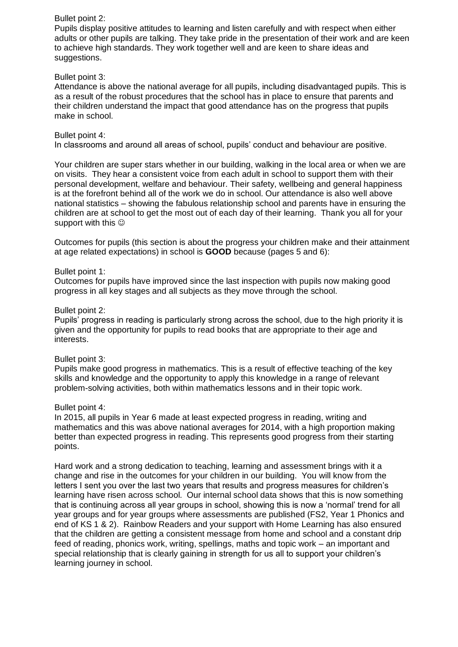#### Bullet point 2:

Pupils display positive attitudes to learning and listen carefully and with respect when either adults or other pupils are talking. They take pride in the presentation of their work and are keen to achieve high standards. They work together well and are keen to share ideas and suggestions.

#### Bullet point 3:

Attendance is above the national average for all pupils, including disadvantaged pupils. This is as a result of the robust procedures that the school has in place to ensure that parents and their children understand the impact that good attendance has on the progress that pupils make in school.

#### Bullet point 4:

In classrooms and around all areas of school, pupils' conduct and behaviour are positive.

Your children are super stars whether in our building, walking in the local area or when we are on visits. They hear a consistent voice from each adult in school to support them with their personal development, welfare and behaviour. Their safety, wellbeing and general happiness is at the forefront behind all of the work we do in school. Our attendance is also well above national statistics – showing the fabulous relationship school and parents have in ensuring the children are at school to get the most out of each day of their learning. Thank you all for your support with this  $\odot$ 

Outcomes for pupils (this section is about the progress your children make and their attainment at age related expectations) in school is **GOOD** because (pages 5 and 6):

# Bullet point 1:

Outcomes for pupils have improved since the last inspection with pupils now making good progress in all key stages and all subjects as they move through the school.

# Bullet point 2:

Pupils' progress in reading is particularly strong across the school, due to the high priority it is given and the opportunity for pupils to read books that are appropriate to their age and interests.

#### Bullet point 3:

Pupils make good progress in mathematics. This is a result of effective teaching of the key skills and knowledge and the opportunity to apply this knowledge in a range of relevant problem-solving activities, both within mathematics lessons and in their topic work.

#### Bullet point 4:

In 2015, all pupils in Year 6 made at least expected progress in reading, writing and mathematics and this was above national averages for 2014, with a high proportion making better than expected progress in reading. This represents good progress from their starting points.

Hard work and a strong dedication to teaching, learning and assessment brings with it a change and rise in the outcomes for your children in our building. You will know from the letters I sent you over the last two years that results and progress measures for children's learning have risen across school. Our internal school data shows that this is now something that is continuing across all year groups in school, showing this is now a 'normal' trend for all year groups and for year groups where assessments are published (FS2, Year 1 Phonics and end of KS 1 & 2). Rainbow Readers and your support with Home Learning has also ensured that the children are getting a consistent message from home and school and a constant drip feed of reading, phonics work, writing, spellings, maths and topic work – an important and special relationship that is clearly gaining in strength for us all to support your children's learning journey in school.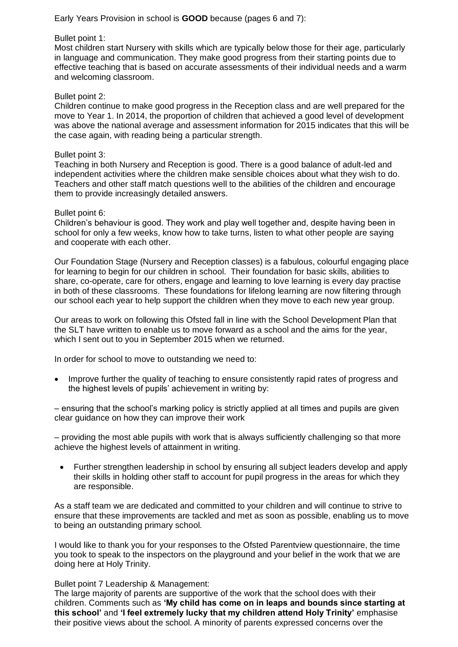Early Years Provision in school is **GOOD** because (pages 6 and 7):

# Bullet point 1:

Most children start Nursery with skills which are typically below those for their age, particularly in language and communication. They make good progress from their starting points due to effective teaching that is based on accurate assessments of their individual needs and a warm and welcoming classroom.

#### Bullet point 2:

Children continue to make good progress in the Reception class and are well prepared for the move to Year 1. In 2014, the proportion of children that achieved a good level of development was above the national average and assessment information for 2015 indicates that this will be the case again, with reading being a particular strength.

#### Bullet point 3:

Teaching in both Nursery and Reception is good. There is a good balance of adult-led and independent activities where the children make sensible choices about what they wish to do. Teachers and other staff match questions well to the abilities of the children and encourage them to provide increasingly detailed answers.

#### Bullet point 6:

Children's behaviour is good. They work and play well together and, despite having been in school for only a few weeks, know how to take turns, listen to what other people are saying and cooperate with each other.

Our Foundation Stage (Nursery and Reception classes) is a fabulous, colourful engaging place for learning to begin for our children in school. Their foundation for basic skills, abilities to share, co-operate, care for others, engage and learning to love learning is every day practise in both of these classrooms. These foundations for lifelong learning are now filtering through our school each year to help support the children when they move to each new year group.

Our areas to work on following this Ofsted fall in line with the School Development Plan that the SLT have written to enable us to move forward as a school and the aims for the year, which I sent out to you in September 2015 when we returned.

In order for school to move to outstanding we need to:

 Improve further the quality of teaching to ensure consistently rapid rates of progress and the highest levels of pupils' achievement in writing by:

– ensuring that the school's marking policy is strictly applied at all times and pupils are given clear guidance on how they can improve their work

– providing the most able pupils with work that is always sufficiently challenging so that more achieve the highest levels of attainment in writing.

 Further strengthen leadership in school by ensuring all subject leaders develop and apply their skills in holding other staff to account for pupil progress in the areas for which they are responsible.

As a staff team we are dedicated and committed to your children and will continue to strive to ensure that these improvements are tackled and met as soon as possible, enabling us to move to being an outstanding primary school.

I would like to thank you for your responses to the Ofsted Parentview questionnaire, the time you took to speak to the inspectors on the playground and your belief in the work that we are doing here at Holy Trinity.

Bullet point 7 Leadership & Management:

The large majority of parents are supportive of the work that the school does with their children. Comments such as **'My child has come on in leaps and bounds since starting at this school'** and **'I feel extremely lucky that my children attend Holy Trinity'** emphasise their positive views about the school. A minority of parents expressed concerns over the